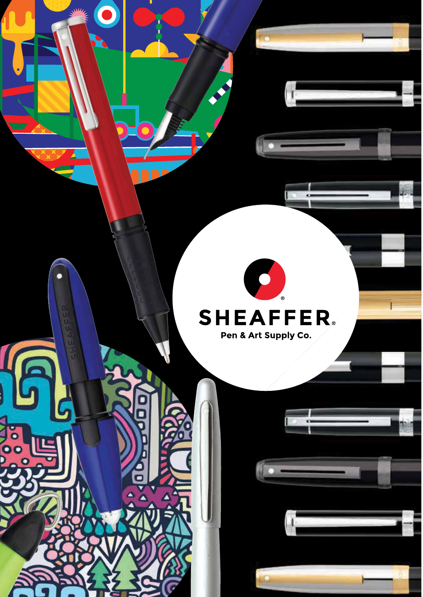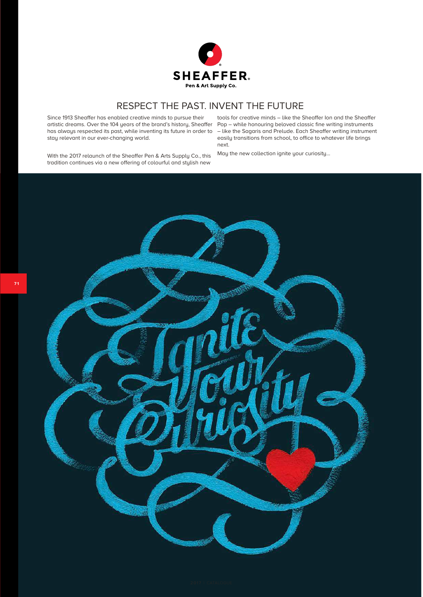

### RESPECT THE PAST. INVENT THE FUTURE

Since 1913 Sheaffer has enabled creative minds to pursue their artistic dreams. Over the 104 years of the brand's history, Sheaffer Pop – while honouring beloved classic fine writing instruments has always respected its past, while inventing its future in order to stay relevant in our ever-changing world.

tools for creative minds – like the Sheaffer Ion and the Sheaffer – like the Sagaris and Prelude. Each Sheaffer writing instrument easily transitions from school, to office to whatever life brings next.

With the 2017 relaunch of the Sheaffer Pen & Arts Supply Co., this tradition continues via a new offering of colourful and stylish new

May the new collection ignite your curiosity…

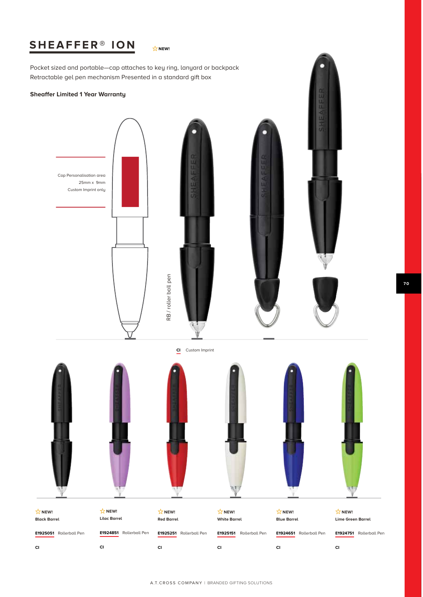# **SHEAFFER® ION**

 $\overleftrightarrow{\mathsf{W}}$  NEW!

Pocket sized and portable—cap attaches to key ring, lanyard or backpack Retractable gel pen mechanism Presented in a standard gift box

### **Sheaffer Limited 1 Year Warranty**

**CI**

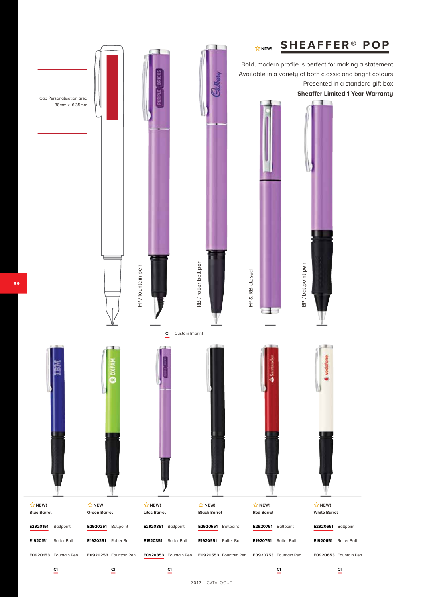

**6 9**

2017 | CATALOGUE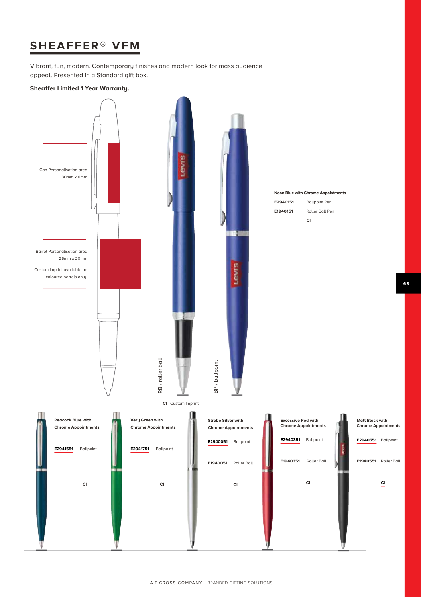## **SHEAFFER® VFM**

Vibrant, fun, modern. Contemporary finishes and modern look for mass audience appeal. Presented in a Standard gift box.

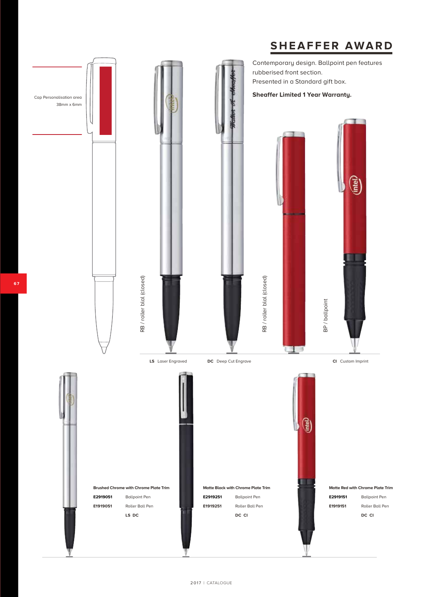# **SHEAFFER AWARD**

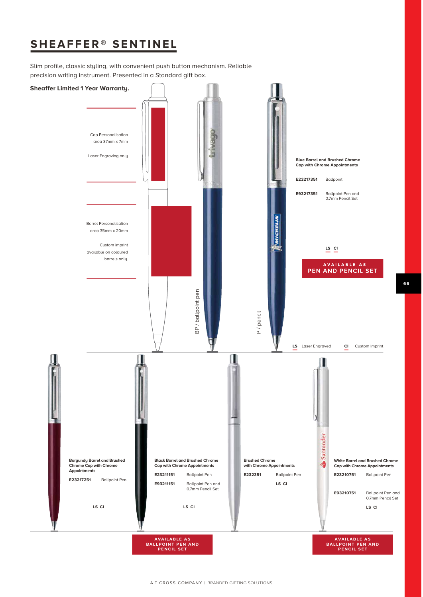## **SHEAFFER® SENTINEL**

Slim profile, classic styling, with convenient push button mechanism. Reliable precision writing instrument. Presented in a Standard gift box.

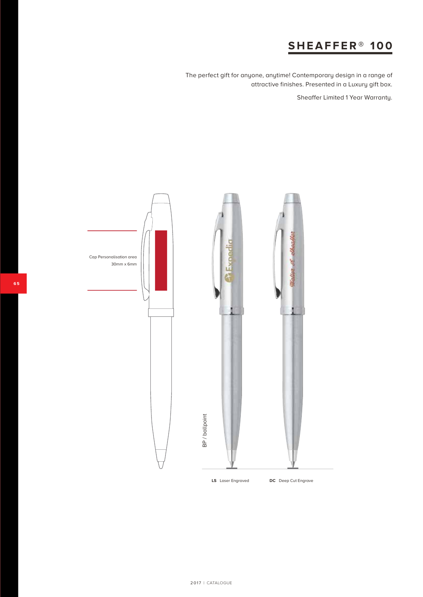## **SHEAFFER® 100**

The perfect gift for anyone, anytime! Contemporary design in a range of attractive finishes. Presented in a Luxury gift box.

Sheaffer Limited 1 Year Warranty.

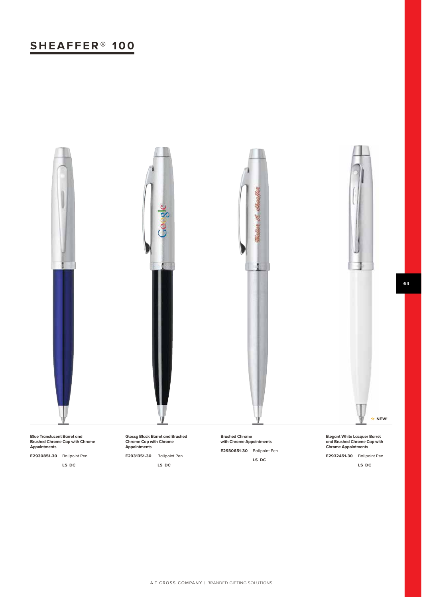# **SHEAFFER® 100**



**Blue Translucent Barrel and Brushed Chrome Cap with Chrome Appointments**

**E2930851-30** Ballpoint Pen

**LS DC**

**Glossy Black Barrel and Brushed Chrome Cap with Chrome Appointments**

**E2931351-30** Ballpoint Pen

**LS DC**

**Brushed Chrome with Chrome Appointments E2930651-30** Ballpoint Pen **LS DC**

**Elegant White Lacquer Barrel and Brushed Chrome Cap with Chrome Appointments**

**E2932451-30** Ballpoint Pen

**LS DC**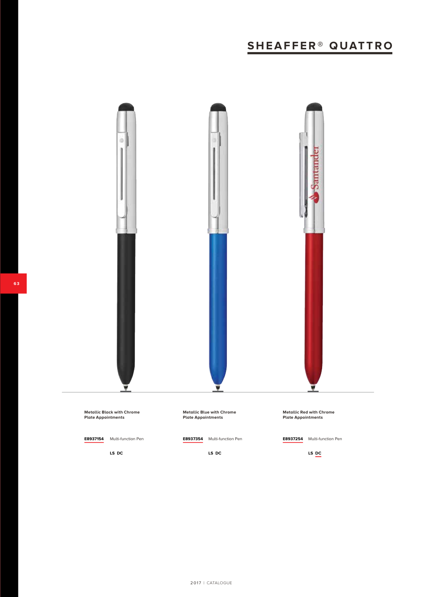# **SHEAFFER® QUATTRO**



**LS DC**

**LS DC**

**LS DC**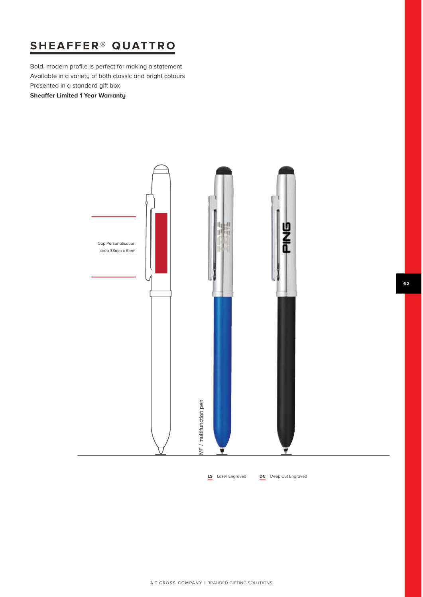# **SHEAFFER® QUATTRO**

Bold, modern profile is perfect for making a statement Available in a variety of both classic and bright colours Presented in a standard gift box

**Sheaffer Limited 1 Year Warranty**



**LS** Laser Engraved **DC** Deep Cut Engraved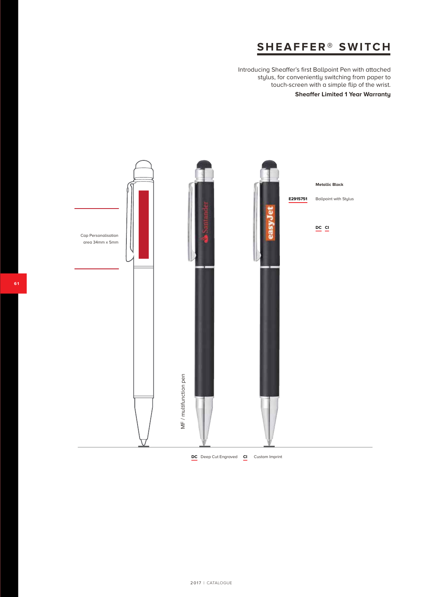## **SHEAFFER® SWITCH**

Introducing Sheaffer's first Ballpoint Pen with attached stylus, for conveniently switching from paper to touch-screen with a simple flip of the wrist.

### **Sheaffer Limited 1 Year Warranty**

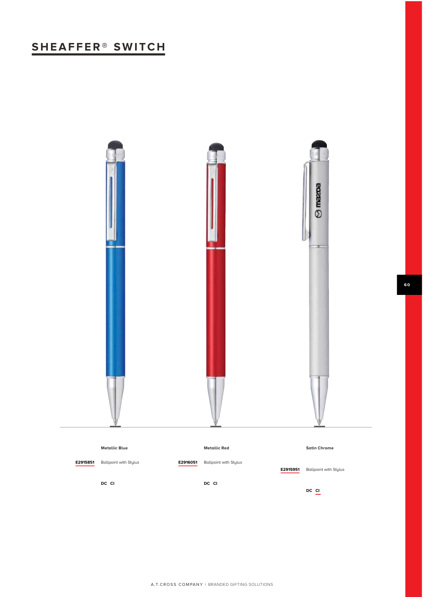# **SHEAFFER® SWITCH**



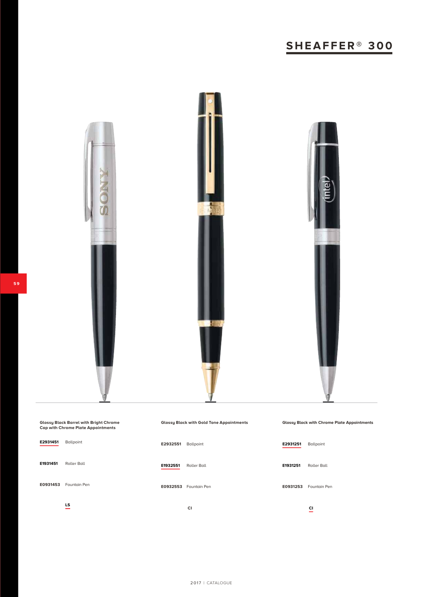# **SHEAFFER® 300**



| <b>Glossy Black Barrel with Bright Chrome</b><br><b>Cap with Chrome Plate Appointments</b> |                                | <b>Glossy Black with Gold Tone Appointments</b> |                    | <b>Glossy Black with Chrome Plate Appointments</b> |                                |  |
|--------------------------------------------------------------------------------------------|--------------------------------|-------------------------------------------------|--------------------|----------------------------------------------------|--------------------------------|--|
| E2931451                                                                                   | Ballpoint                      | E2932551                                        | Ballpoint          | E2931251                                           | Ballpoint                      |  |
| E1931451                                                                                   | <b>Roller Ball</b>             | E1932551                                        | <b>Roller Ball</b> | E1931251                                           | <b>Roller Ball</b>             |  |
| E0931453                                                                                   | Fountain Pen                   | E0932553                                        | Fountain Pen       | E0931253                                           | Fountain Pen                   |  |
|                                                                                            | LS<br>$\overline{\phantom{0}}$ |                                                 | <b>CI</b>          |                                                    | CI<br>$\overline{\phantom{a}}$ |  |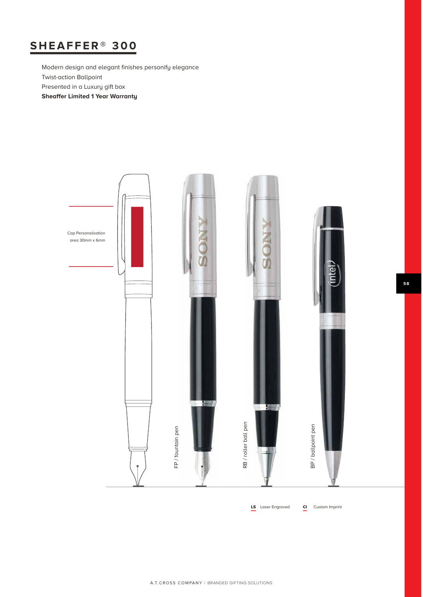# **SHEAFFER® 300**

Modern design and elegant finishes personify elegance Twist-action Ballpoint Presented in a Luxury gift box **Sheaffer Limited 1 Year Warranty**



**LS** Laser Engraved **CI** Custom Imprint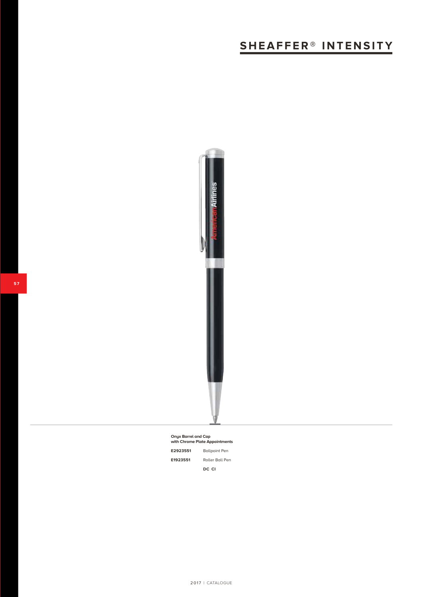# **SHEAFFER® INTENSITY**



**Onyx Barrel and Cap with Chrome Plate Appointments E2923551** Ballpoint Pen **E1923551** Roller Ball Pen **DC CI**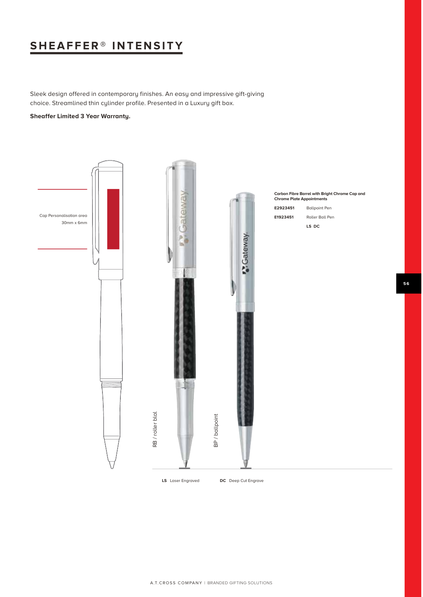## **SHEAFFER® INTENSITY**

Sleek design offered in contemporary finishes. An easy and impressive gift-giving choice. Streamlined thin cylinder profile. Presented in a Luxury gift box.

### **Sheaffer Limited 3 Year Warranty.**

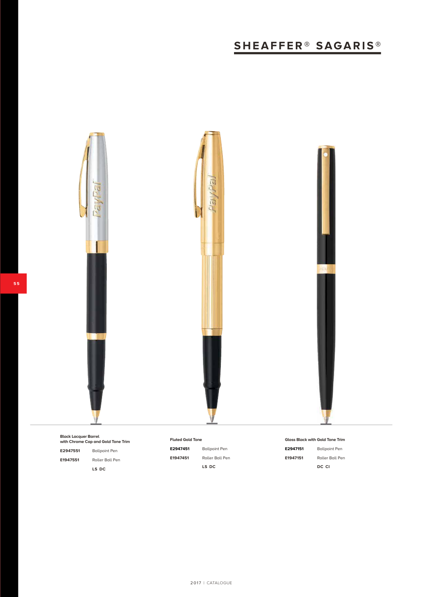# **SHEAFFER® SAGARIS®**



**Black Lacquer Barrel with Chrome Cap and Gold Tone Trim E2947551** Ballpoint Pen **E1947551** Roller Ball Pen **LS DC**

### **Fluted Gold Tone**

**E2947451** Ballpoint Pen **E1947451** Roller Ball Pen **LS DC**

**Gloss Black with Gold Tone Trim E2947151** Ballpoint Pen

**E1947151** Roller Ball Pen **DC CI**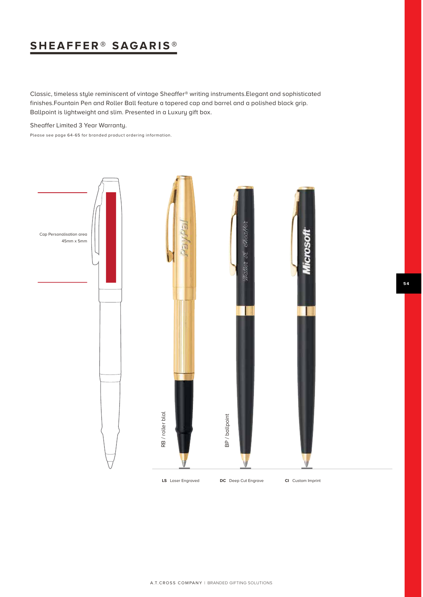## **SHEAFFER® SAGARIS ®**

Classic, timeless style reminiscent of vintage Sheaffer® writing instruments.Elegant and sophisticated finishes.Fountain Pen and Roller Ball feature a tapered cap and barrel and a polished black grip. Ballpoint is lightweight and slim. Presented in a Luxury gift box.

Sheaffer Limited 3 Year Warranty.

Please see page 64-65 for branded product ordering information.

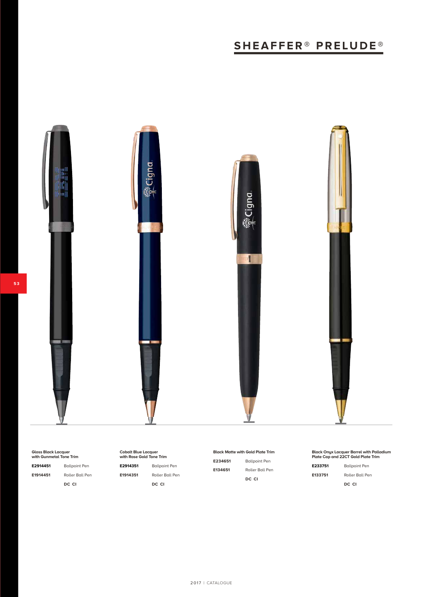# **SHEAFFER® PRELUDE ®**



**Gloss Black Lacquer with Gunmetal Tone Trim**

**E2914451** Ballpoint Pen **E1914451** Roller Ball Pen **DC CI**

**Cobalt Blue Lacquer with Rose Gold Tone Trim**

**E2914351** Ballpoint Pen

**E1914351** Roller Ball Pen **DC CI**

**Black Matte with Gold Plate Trim**

**E234651** Ballpoint Pen **E134651** Roller Ball Pen **DC CI**

### **Black Onyx Lacquer Barrel with Palladium Plate Cap and 22CT Gold Plate Trim**

**E233751** Ballpoint Pen **E133751** Roller Ball Pen **DC CI**

**5 3**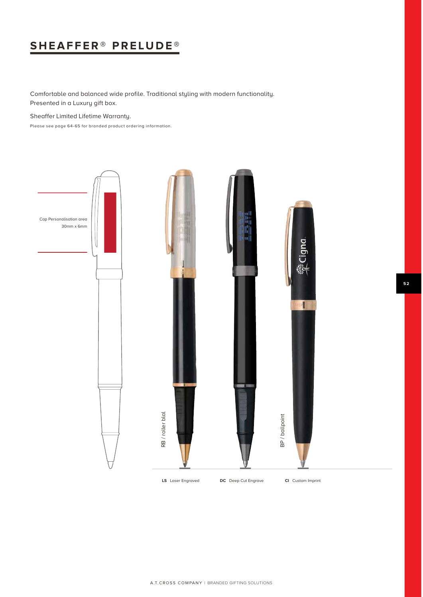# **SHEAFFER® PRELUDE ®**

Comfortable and balanced wide profile. Traditional styling with modern functionality. Presented in a Luxury gift box.

Sheaffer Limited Lifetime Warranty.

Please see page 64-65 for branded product ordering information.

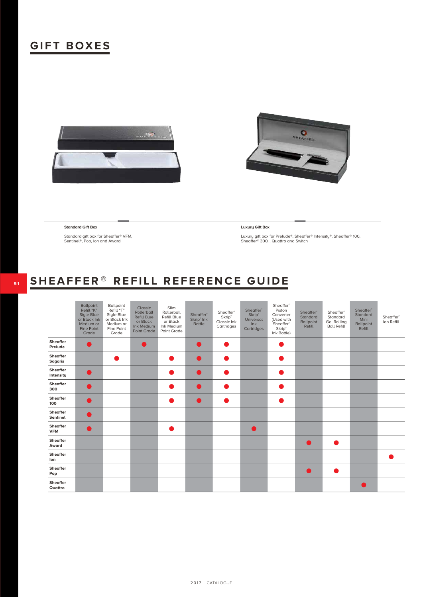## **GIFT BOXES**





### **Standard Gift Box**

Standard gift box for Sheaffer® VFM, Sentinel®, Pop, Ion and Award

### **Luxury Gift Box**

Luxury gift box for Prelude®, Sheaffer® Intensity®, Sheaffer® 100, Sheaffer® 300, , Quattro and Switch

# **SHEAFFER**® **REFILL REFERENCE GUIDE**

|                             | <b>Ballpoint</b><br>Refill "K"<br><b>Style Blue</b><br>or Black Ink<br>Medium or<br>Fine Point<br>Grade | Ballpoint<br>Refill "T"<br>Style Blue<br>or Black Ink<br>Medium or<br>Fine Point<br>Grade | Classic<br>Rollerball<br><b>Refill Blue</b><br>or Black<br>Ink Medium<br>Point Grade | Slim<br>Rollerball<br>Refill Blue<br>or Black<br>Ink Medium<br>Point Grade | Sheaffer <sup>®</sup><br>Skrip <sup>®</sup> Ink<br><b>Bottle</b> | Sheaffer <sup>®</sup><br>Skrip <sup>®</sup><br>Classic Ink<br>Cartridges | Sheaffer <sup>®</sup><br><b>Skrip</b> <sup>®</sup><br>Universal<br>lnk<br>Cartridges | Sheaffer <sup>®</sup><br>Piston<br>Converter<br>(Used with<br>Sheaffer <sup>®</sup><br>Skrip <sup>®</sup><br>Ink Bottle) | Sheaffer <sup>®</sup><br>Standard<br><b>Ballpoint</b><br>Refill | Sheaffer <sup>®</sup><br>Standard<br><b>Gel Rolling</b><br><b>Ball Refill</b> | Sheaffer <sup>®</sup><br>Standard<br>Mini<br><b>Ballpoint</b><br>Refill | Sheaffer <sup>®</sup><br>Ion Refill |
|-----------------------------|---------------------------------------------------------------------------------------------------------|-------------------------------------------------------------------------------------------|--------------------------------------------------------------------------------------|----------------------------------------------------------------------------|------------------------------------------------------------------|--------------------------------------------------------------------------|--------------------------------------------------------------------------------------|--------------------------------------------------------------------------------------------------------------------------|-----------------------------------------------------------------|-------------------------------------------------------------------------------|-------------------------------------------------------------------------|-------------------------------------|
| <b>Sheaffer</b><br>Prelude  |                                                                                                         |                                                                                           |                                                                                      |                                                                            |                                                                  |                                                                          |                                                                                      |                                                                                                                          |                                                                 |                                                                               |                                                                         |                                     |
| Sheaffer<br><b>Sagaris</b>  |                                                                                                         |                                                                                           |                                                                                      |                                                                            | <b>Service Service</b>                                           |                                                                          |                                                                                      |                                                                                                                          |                                                                 |                                                                               |                                                                         |                                     |
| Sheaffer<br>Intensity       |                                                                                                         |                                                                                           |                                                                                      |                                                                            |                                                                  |                                                                          |                                                                                      |                                                                                                                          |                                                                 |                                                                               |                                                                         |                                     |
| Sheaffer<br>300             |                                                                                                         |                                                                                           |                                                                                      |                                                                            |                                                                  |                                                                          |                                                                                      |                                                                                                                          |                                                                 |                                                                               |                                                                         |                                     |
| Sheaffer<br>100             |                                                                                                         |                                                                                           |                                                                                      |                                                                            | <b>Service Service</b>                                           |                                                                          |                                                                                      |                                                                                                                          |                                                                 |                                                                               |                                                                         |                                     |
| <b>Sheaffer</b><br>Sentinel |                                                                                                         |                                                                                           |                                                                                      |                                                                            |                                                                  |                                                                          |                                                                                      |                                                                                                                          |                                                                 |                                                                               |                                                                         |                                     |
| Sheaffer<br><b>VFM</b>      |                                                                                                         |                                                                                           |                                                                                      |                                                                            |                                                                  |                                                                          |                                                                                      |                                                                                                                          |                                                                 |                                                                               |                                                                         |                                     |
| Sheaffer<br>Award           |                                                                                                         |                                                                                           |                                                                                      |                                                                            |                                                                  |                                                                          |                                                                                      |                                                                                                                          | $\blacksquare$                                                  |                                                                               |                                                                         |                                     |
| Sheaffer<br>lon             |                                                                                                         |                                                                                           |                                                                                      |                                                                            |                                                                  |                                                                          |                                                                                      |                                                                                                                          |                                                                 |                                                                               |                                                                         |                                     |
| <b>Sheaffer</b><br>Pop      |                                                                                                         |                                                                                           |                                                                                      |                                                                            |                                                                  |                                                                          |                                                                                      |                                                                                                                          | $\bullet$                                                       | ۰                                                                             |                                                                         |                                     |
| Sheaffer<br>Quattro         |                                                                                                         |                                                                                           |                                                                                      |                                                                            |                                                                  |                                                                          |                                                                                      |                                                                                                                          |                                                                 |                                                                               |                                                                         |                                     |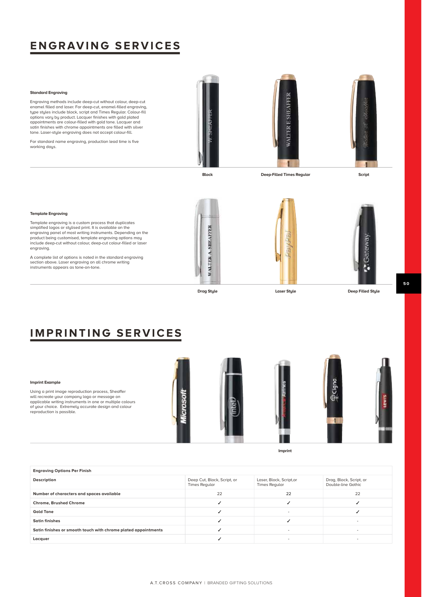## **ENGRAVING SERVICES**

### **Standard Engraving**

Engraving methods include deep-cut without colour, deep-cut enamel filled and laser. For deep-cut, enamel-filled engraving, type styles include block, script and Times Regular. Colour-fill options vary by product. Lacquer finishes with gold plated appointments are colour-filled with gold tone. Lacquer and satin finishes with chrome appointments are filled with silver tone. Laser-style engraving does not accept colour-fill.

For standard name engraving, production lead time is five working days.







**Block Deep-Filled Times Regular Script**

### **Template Engraving**

Template engraving is a custom process that duplicates simplified logos or stylised print. It is available on the engraving panel of most writing instruments. Depending on the product being customised, template engraving options may include deep-cut without colour, deep-cut colour-filled or laser engraving.

A complete list of options is noted in the standard engraving section above. Laser engraving on all chrome writing instruments appears as tone-on-tone.







**Drag Style Laser Style Deep Filled Style**

### **IMPRINTING SERVICES**

### **Imprint Example**

Using a print image reproduction process, Sheaffer will recreate your company logo or message on applicable writing instruments in one or multiple colours of your choice. Extremely accurate design and colour reproduction is possible.



**Imprint**



| Description                                                    | Deep Cut, Block, Script, or<br><b>Times Reqular</b> | Laser, Block, Script,or<br><b>Times Regular</b> | Drag, Block, Script, or<br>Double-line Gothic |
|----------------------------------------------------------------|-----------------------------------------------------|-------------------------------------------------|-----------------------------------------------|
| Number of characters and spaces available                      | 22                                                  | 22                                              | 22                                            |
| <b>Chrome, Brushed Chrome</b>                                  |                                                     |                                                 |                                               |
| <b>Gold Tone</b>                                               |                                                     |                                                 |                                               |
| <b>Satin finishes</b>                                          |                                                     |                                                 |                                               |
| Satin finishes or smooth touch with chrome plated appointments |                                                     |                                                 | ۰                                             |
| Lacquer                                                        |                                                     |                                                 | ۰                                             |